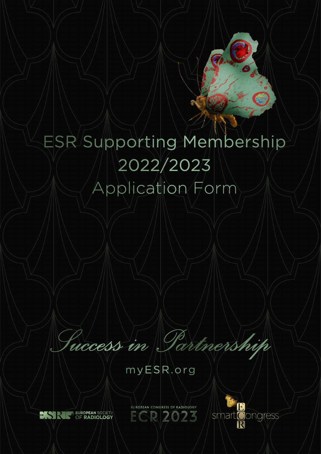# ESR/Supporting Membership 2022/2023 Application Form

Puccess in Partnership

 $myESR.org$ 



EUROPEAN CO. ECR 2023

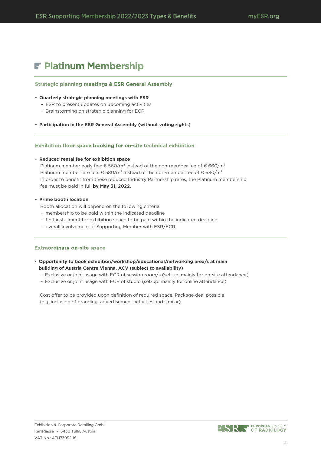# F' Platinum Membership

# **Strategic planning meetings & ESR General Assembly**

## • **Quarterly strategic planning meetings with ESR**

- ESR to present updates on upcoming activities
- Brainstorming on strategic planning for ECR
- **Participation in the ESR General Assembly (without voting rights)**

# Exhibition floor space booking for on-site technical exhibition

# • **Reduced rental fee for exhibition space**

Platinum member early fee:  $\epsilon$  560/m<sup>2</sup> instead of the non-member fee of  $\epsilon$  660/m<sup>2</sup> Platinum member late fee:  $\epsilon$  580/m<sup>2</sup> instead of the non-member fee of  $\epsilon$  680/m<sup>2</sup> In order to benefit from these reduced Industry Partnership rates, the Platinum membership fee must be paid in full **by May 31, 2022.**

# • **Prime booth location**

- Booth allocation will depend on the following criteria
- membership to be paid within the indicated deadline
- first installment for exhibition space to be paid within the indicated deadline
- overall involvement of Supporting Member with ESR/ECR

# **Extraordinary on-site space**

- **Opportunity to book exhibition/workshop/educational/networking area/s at main building of Austria Centre Vienna, ACV (subject to availability)**
	- Exclusive or joint usage with ECR of session room/s (set-up: mainly for on-site attendance)
	- Exclusive or joint usage with ECR of studio (set-up: mainly for online attendance)

Cost offer to be provided upon definition of required space. Package deal possible (e.g. inclusion of branding, advertisement activities and similar)

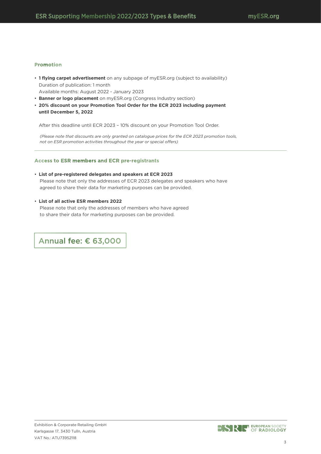### **Promotion**

• **1 flying carpet advertisement** on any subpage of myESR.org (subject to availability) Duration of publication: 1 month

Available months: August 2022 - January 2023

- **Banner or logo placement** on myESR.org (Congress Industry section)
- **20% discount on your Promotion Tool Order for the ECR 2023 including payment until December 5, 2022**

After this deadline until ECR 2023 – 10% discount on your Promotion Tool Order.

*(Please note that discounts are only granted on catalogue prices for the ECR 2023 promotion tools, not on ESR promotion activities throughout the year or special offers)*

### **Access to ESR members and ECR pre-registrants**

### • **List of pre-registered delegates and speakers at ECR 2023** Please note that only the addresses of ECR 2023 delegates and speakers who have agreed to share their data for marketing purposes can be provided.

• **List of all active ESR members 2022**

Please note that only the addresses of members who have agreed to share their data for marketing purposes can be provided.

Annual fee: € 63,000

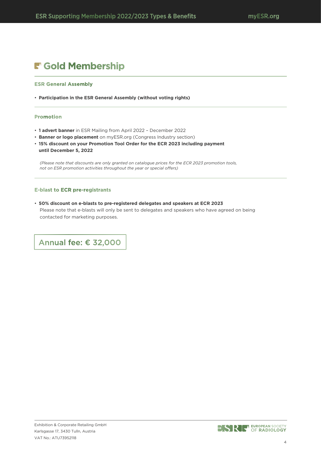# F Gold Membership

### **ESR General Assembly**

• **Participation in the ESR General Assembly (without voting rights)**

### **Promotion**

- **1 advert banner** in ESR Mailing from April 2022 December 2022
- **Banner or logo placement** on myESR.org (Congress Industry section)
- **15% discount on your Promotion Tool Order for the ECR 2023 including payment until December 5, 2022**

*(Please note that discounts are only granted on catalogue prices for the ECR 2023 promotion tools, not on ESR promotion activities throughout the year or special offers)*

### **E-blast to ECR pre-registrants**

• **50% discount on e-blasts to pre-registered delegates and speakers at ECR 2023** Please note that e-blasts will only be sent to delegates and speakers who have agreed on being contacted for marketing purposes.

Annual fee: € 32,000

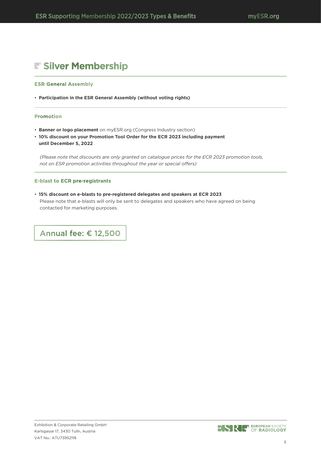# Silver Membership

### **ESR General Assembly**

• **Participation in the ESR General Assembly (without voting rights)**

### **Promotion**

- **Banner or logo placement** on myESR.org (Congress Industry section)
- **10% discount on your Promotion Tool Order for the ECR 2023 including payment until December 5, 2022**

*(Please note that discounts are only granted on catalogue prices for the ECR 2023 promotion tools, not on ESR promotion activities throughout the year or special offers)*

### **E-blast to ECR pre-registrants**

• **15% discount on e-blasts to pre-registered delegates and speakers at ECR 2023** Please note that e-blasts will only be sent to delegates and speakers who have agreed on being contacted for marketing purposes.

Annual fee: € 12,500

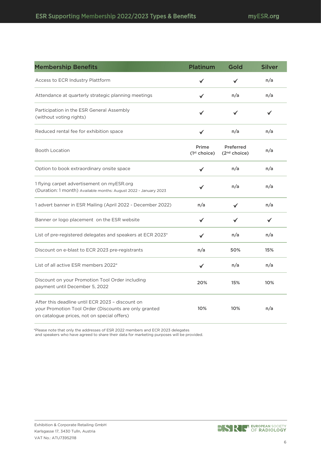| <b>Melling stille Defielits</b>                                                                                                                          | Piathium                          | שוטט                                  | <b>PHILC</b> |
|----------------------------------------------------------------------------------------------------------------------------------------------------------|-----------------------------------|---------------------------------------|--------------|
| Access to ECR Industry Plattform                                                                                                                         | ✓                                 |                                       | n/a          |
| Attendance at quarterly strategic planning meetings                                                                                                      | ✔                                 | n/a                                   | n/a          |
| Participation in the ESR General Assembly<br>(without voting rights)                                                                                     | ✓                                 | ✔                                     | ✔            |
| Reduced rental fee for exhibition space                                                                                                                  | ✔                                 | n/a                                   | n/a          |
| <b>Booth Location</b>                                                                                                                                    | Prime<br>(1 <sup>st</sup> choice) | Preferred<br>(2 <sup>nd</sup> choice) | n/a          |
| Option to book extraordinary onsite space                                                                                                                | $\checkmark$                      | n/a                                   | n/a          |
| 1 flying carpet advertisement on myESR.org<br>(Duration: 1 month) Available months: August 2022 - January 2023                                           | ✓                                 | n/a                                   | n/a          |
| 1 advert banner in ESR Mailing (April 2022 - December 2022)                                                                                              | n/a                               | ✓                                     | n/a          |
| Banner or logo placement on the ESR website                                                                                                              |                                   |                                       | ✔            |
| List of pre-registered delegates and speakers at ECR 2023*                                                                                               | ✓                                 | n/a                                   | n/a          |
| Discount on e-blast to ECR 2023 pre-registrants                                                                                                          | n/a                               | 50%                                   | 15%          |
| List of all active ESR members 2022*                                                                                                                     | $\checkmark$                      | n/a                                   | n/a          |
| Discount on your Promotion Tool Order including<br>payment until December 5, 2022                                                                        | 20%                               | 15%                                   | 10%          |
| After this deadline until ECR 2023 - discount on<br>your Promotion Tool Order (Discounts are only granted<br>on catalogue prices, not on special offers) | 10%                               | 10%                                   | n/a          |

Membership Benefits Platinum Gold Silver

\*Please note that only the addresses of ESR 2022 members and ECR 2023 delegates

and speakers who have agreed to share their data for marketing purposes will be provided.

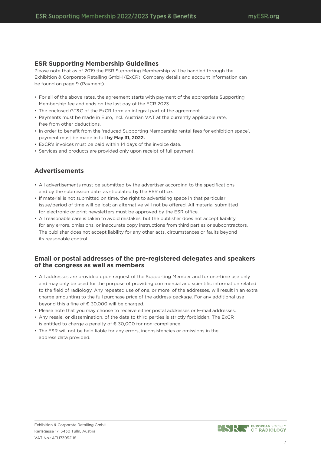# **ESR Supporting Membership Guidelines**

Please note that as of 2019 the ESR Supporting Membership will be handled through the Exhibition & Corporate Retailing GmbH (ExCR). Company details and account information can be found on page 9 (Payment).

- For all of the above rates, the agreement starts with payment of the appropriate Supporting Membership fee and ends on the last day of the ECR 2023.
- The enclosed GT&C of the ExCR form an integral part of the agreement.
- Payments must be made in Euro, incl. Austrian VAT at the currently applicable rate, free from other deductions.
- In order to benefit from the 'reduced Supporting Membership rental fees for exhibition space', payment must be made in full **by May 31, 2022.**
- ExCR's invoices must be paid within 14 days of the invoice date.
- Services and products are provided only upon receipt of full payment.

# **Advertisements**

- All advertisements must be submitted by the advertiser according to the specifications and by the submission date, as stipulated by the ESR office.
- If material is not submitted on time, the right to advertising space in that particular issue/period of time will be lost; an alternative will not be offered. All material submitted for electronic or print newsletters must be approved by the ESR office.
- All reasonable care is taken to avoid mistakes, but the publisher does not accept liability for any errors, omissions, or inaccurate copy instructions from third parties or subcontractors. The publisher does not accept liability for any other acts, circumstances or faults beyond its reasonable control.

### **Email or postal addresses of the pre-registered delegates and speakers of the congress as well as members**

- All addresses are provided upon request of the Supporting Member and for one-time use only and may only be used for the purpose of providing commercial and scientific information related to the field of radiology. Any repeated use of one, or more, of the addresses, will result in an extra charge amounting to the full purchase price of the address-package. For any additional use beyond this a fine of € 30,000 will be charged.
- Please note that you may choose to receive either postal addresses or E-mail addresses.
- Any resale, or dissemination, of the data to third parties is strictly forbidden. The ExCR is entitled to charge a penalty of € 30,000 for non-compliance.
- The ESR will not be held liable for any errors, inconsistencies or omissions in the address data provided.

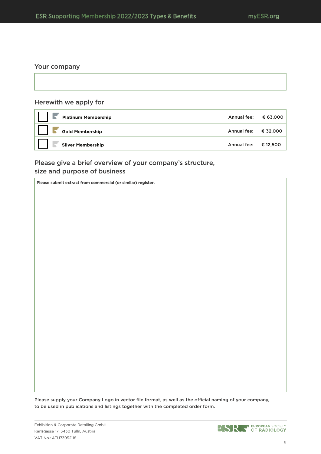### Your company

### Herewith we apply for

| <b>Platinum Membership</b> | Annual fee: $€ 63,000$ |  |
|----------------------------|------------------------|--|
| <b>Gold Membership</b>     | Annual fee: $€ 32,000$ |  |
| <b>Silver Membership</b>   | Annual fee: $€ 12,500$ |  |

# Please give a brief overview of your company's structure, size and purpose of business

**Please submit extract from commercial (or similar) register.**

Please supply your Company Logo in vector file format, as well as the official naming of your company, to be used in publications and listings together with the completed order form.

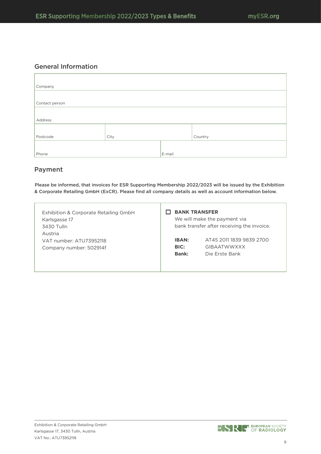# General Information

| Company        |      |        |         |
|----------------|------|--------|---------|
|                |      |        |         |
| Contact person |      |        |         |
|                |      |        |         |
| Address        |      |        |         |
|                |      |        |         |
| Postcode       | City |        | Country |
|                |      |        |         |
| Phone          |      | E-mail |         |

# Payment

Please be informed, that invoices for ESR Supporting Membership 2022/2023 will be issued by the Exhibition & Corporate Retailing GmbH (ExCR). Please find all company details as well as account information below.

|              | We will make the payment via<br>bank transfer after receiving the invoice. |
|--------------|----------------------------------------------------------------------------|
| <b>IBAN:</b> | AT45 2011 1839 9839 2700                                                   |
| BIC:         | <b>GIBAATWWXXX</b>                                                         |
| <b>Bank:</b> | Die Frste Bank                                                             |
|              |                                                                            |
|              |                                                                            |

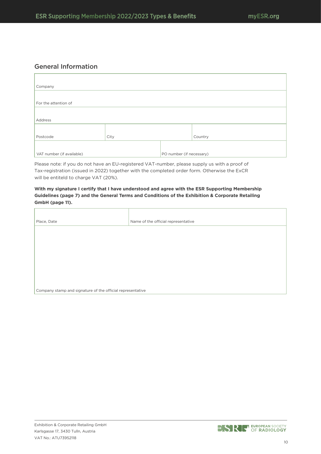# General Information

| Company                   |      |                          |         |
|---------------------------|------|--------------------------|---------|
|                           |      |                          |         |
| For the attention of      |      |                          |         |
|                           |      |                          |         |
| Address                   |      |                          |         |
|                           |      |                          |         |
| Postcode                  | City |                          | Country |
|                           |      |                          |         |
| VAT number (if available) |      | PO number (if necessary) |         |

Please note: if you do not have an EU-registered VAT-number, please supply us with a proof of Tax-registration (issued in 2022) together with the completed order form. Otherwise the ExCR will be entiteld to charge VAT (20%).

**With my signature I certify that I have understood and agree with the ESR Supporting Membership Guidelines (page 7) and the General Terms and Conditions of the Exhibition & Corporate Retailing GmbH (page 11).**

| Place, Date                                                | Name of the official representative |
|------------------------------------------------------------|-------------------------------------|
|                                                            |                                     |
|                                                            |                                     |
|                                                            |                                     |
|                                                            |                                     |
|                                                            |                                     |
|                                                            |                                     |
|                                                            |                                     |
| Company stamp and signature of the official representative |                                     |

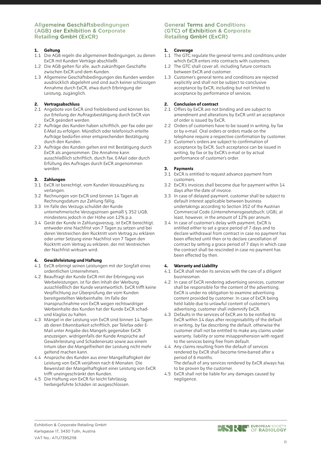### Allgemeine Geschäftsbedingungen (AGB) der Exhibition & Corporate **Retailing GmbH (ExCR)**

### **1. Geltung**

- 1.1 Die AGB regeln die allgemeinen Bedingungen, zu denen ExCR mit Kunden Verträge abschließt.
- 1.2 Die AGB gelten für alle, auch zukünftigen Geschäfte zwischen ExCR und dem Kunden.
- 1.3 Allgemeine Geschäftsbedingungen des Kunden werden ausdrücklich abgelehnt und sind auch keiner schlüssigen Annahme durch ExCR, etwa durch Erbringung der Leistung, zugänglich.

### **2. Vertragsabschluss**

- 2.1 Angebote von ExCR sind freibleibend und können bis zur Erteilung der Auftragsbestätigung durch ExCR von ExCR geändert werden.
- 2.2 Aufträge des Kunden haben schriftlich, per Fax oder per E-Mail zu erfolgen. Mündlich oder telefonisch erteilte Aufträge bedürfen einer entsprechenden Bestätigung durch den Kunden.
- 2.3 Aufträge des Kunden gelten erst mit Bestätigung durch ExCR als angenommen. Die Annahme kann ausschließlich schriftlich, durch Fax, E-Mail oder durch Erfüllung des Auftrages durch ExCR angenommen werden.

### **3. Zahlungen**

- 3.1 ExCR ist berechtigt, vom Kunden Vorauszahlung zu verlangen.
- 3.2 Rechnungen von ExCR sind binnen 14 Tagen ab Rechnungsdatum zur Zahlung fällig.
- 3.3 Im Falle des Verzugs schuldet der Kunde unternehmerische Verzugszinsen gemäß § 352 UGB, mindestens jedoch in der Höhe von 12% p.a.
- 3.4 Gerät der Kunde in Zahlungsverzug, ist ExCR berechtigt, entweder eine Nachfrist von 7 Tagen zu setzen und bei deren Verstreichen den Rücktritt vom Vertrag zu erklären oder unter Setzung einer Nachfrist von 7 Tagen den Rücktritt vom Vertrag zu erklären, der mit Verstreichen der Nachfrist wirksam wird.

### **4. Gewährleistung und Haftung**

- 4.1 ExCR erbringt seinen Leistungen mit der Sorgfalt eines ordentlichen Unternehmers.
- 4.2 Beauftragt der Kunde ExCR mit der Erbringung von Werbeleistungen, ist für den Inhalt der Werbung ausschließlich der Kunde verantwortlich. ExCR trifft keine Verpflichtung zur Überprüfung der vom Kunden bereitgestellten Werbeinhalte. Im Falle der Inanspruchnahme von ExCR wegen rechtswidriger Werbeinhalte des Kunden hat der Kunde ExCR schadund klaglos zu halten.
- 4.3 Mängel in der Leistung von ExCR sind binnen 14 Tagen ab deren Erkennbarkeit schriftlich, per Telefax oder E-Mail unter Angabe des Mangels gegenüber ExCR anzuzeigen, widrigenfalls der Kunde Ansprüche auf Gewährleistung und Schadenersatz sowie aus einem Irrtum über die Mangelfreiheit der Leistung nicht mehr geltend machen kann.
- 4.4 Ansprüche des Kunden aus einer Mangelhaftigkeit der Leistung von ExCR verjähren nach 6 Monaten. Die Beweislast der Mangelhaftigkeit einer Leistung von ExCR trifft uneingeschränkt den Kunden.
- 4.5 Die Haftung von ExCR für leicht fahrlässig herbeigeführte Schäden ist ausgeschlossen.

### **General Terms and Conditions** (GTC) of Exhibition & Corporate **Retailing GmbH (ExCR)**

### **1. Coverage**

- 1.1 The GTC regulate the general terms and conditions under which ExCR enters into contracts with customers.
- 1.2 The GTC shall cover all, including future contracts between ExCR and customer.
- 1.3 Customer's general terms and conditions are rejected explicitly and shall not be subject to conclusive acceptance by ExCR, including but not limited to acceptance by performance of services.

### **2. Conclusion of contract**

- 2.1 Offers by ExCR are not binding and are subject to amendment and alterations by ExCR until an acceptance of order is issued by ExCR.
- 2.2 Orders of customers have to be issued in writing, by fax or by e-mail. Oral orders or orders made on the telephone require a respective confirmation by customer.
- 2.3 Customer's orders are subject to confirmation of acceptance by ExCR. Such acceptance can be issued in writing, by fax or by ExCR's e-mail or by actual performance of customer's order.

### **3. Payments**

- 3.1 ExCR is entitled to request advance payment from customers.
- 3.2 ExCR's invoices shall become due for payment within 14 days after the date of invoice.
- 3.3 In case of delayed payment, customer shall be subject to default interest applicable between business undertakings according to Section 352 of the Austrian Commercial Code (Unternehmensgesetzbuch; UGB), at least, however, in the amount of 12% per annum.
- 3.4 In case of customer's delay with payment, ExCR is entitled either to set a grace period of 7 days and to declare withdrawal from contract in case no payment has been effected until then or to declare cancellation of contract by setting a grace period of 7 days in which case the contract shall be rescinded in case no payment has been effected by then.

### **4. Warranty and Liability**

- 4.1 ExCR shall render its services with the care of a diligent businessman.
- 4.2 In case of ExCR rendering advertising services, customer shall be responsible for the content of the advertising. ExCR is under no obligation to examine advertising content provided by customer. In case of ExCR being held liable due to unlawful content of customer's advertising, customer shall indemnify ExCR.
- 4.3 Defaults in the services of ExCR are to be notified to ExCR within 14 days after recognisability of the default in writing, by fax describing the default, otherwise the customer shall not be entitled to make any claims under warranty, liability or some misapprehension with regard to the services being free from default.
- 4.4 Any claims resulting from the default of services rendered by ExCR shall become time-barred after a period of 6 months. The default of any services rendered by ExCR always has to be proven by the customer.
- 4.5 ExCR shall not be liable for any damages caused by negligence.